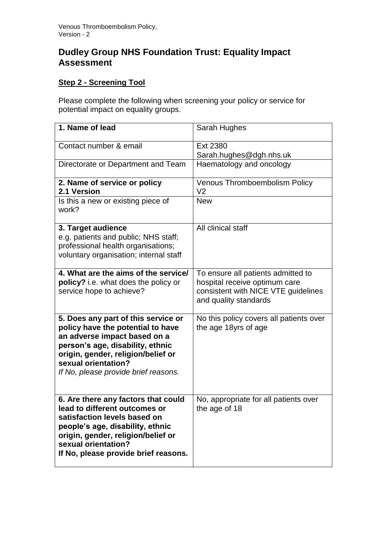## **Dudley Group NHS Foundation Trust: Equality Impact Assessment**

## **Step 2 - Screening Tool**

Please complete the following when screening your policy or service for potential impact on equality groups.

| 1. Name of lead                                                                                                                                                                                                                                   | Sarah Hughes                                                                                                                        |
|---------------------------------------------------------------------------------------------------------------------------------------------------------------------------------------------------------------------------------------------------|-------------------------------------------------------------------------------------------------------------------------------------|
| Contact number & email                                                                                                                                                                                                                            | Ext 2380<br>Sarah.hughes@dgh.nhs.uk                                                                                                 |
| Directorate or Department and Team                                                                                                                                                                                                                | Haematology and oncology                                                                                                            |
| 2. Name of service or policy<br>2.1 Version                                                                                                                                                                                                       | <b>Venous Thromboembolism Policy</b><br>V <sub>2</sub>                                                                              |
| Is this a new or existing piece of<br>work?                                                                                                                                                                                                       | <b>New</b>                                                                                                                          |
| 3. Target audience<br>e.g. patients and public; NHS staff;<br>professional health organisations;<br>voluntary organisation; internal staff                                                                                                        | All clinical staff                                                                                                                  |
| 4. What are the aims of the service/<br>policy? i.e. what does the policy or<br>service hope to achieve?                                                                                                                                          | To ensure all patients admitted to<br>hospital receive optimum care<br>consistent with NICE VTE guidelines<br>and quality standards |
| 5. Does any part of this service or<br>policy have the potential to have<br>an adverse impact based on a<br>person's age, disability, ethnic<br>origin, gender, religion/belief or<br>sexual orientation?<br>If No, please provide brief reasons. | No this policy covers all patients over<br>the age 18yrs of age                                                                     |
| 6. Are there any factors that could<br>lead to different outcomes or<br>satisfaction levels based on<br>people's age, disability, ethnic<br>origin, gender, religion/belief or<br>sexual orientation?<br>If No, please provide brief reasons.     | No, appropriate for all patients over<br>the age of 18                                                                              |